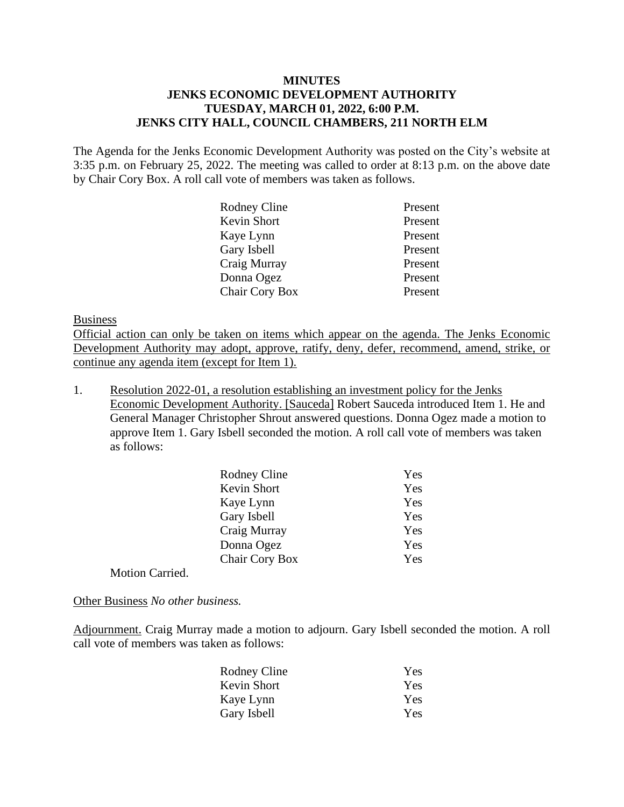## **MINUTES JENKS ECONOMIC DEVELOPMENT AUTHORITY TUESDAY, MARCH 01, 2022, 6:00 P.M. JENKS CITY HALL, COUNCIL CHAMBERS, 211 NORTH ELM**

The Agenda for the Jenks Economic Development Authority was posted on the City's website at 3:35 p.m. on February 25, 2022. The meeting was called to order at 8:13 p.m. on the above date by Chair Cory Box. A roll call vote of members was taken as follows.

| Rodney Cline   | Present |
|----------------|---------|
| Kevin Short    | Present |
| Kaye Lynn      | Present |
| Gary Isbell    | Present |
| Craig Murray   | Present |
| Donna Ogez     | Present |
| Chair Cory Box | Present |

## Business

Official action can only be taken on items which appear on the agenda. The Jenks Economic Development Authority may adopt, approve, ratify, deny, defer, recommend, amend, strike, or continue any agenda item (except for Item 1).

1. Resolution 2022-01, a resolution establishing an investment policy for the Jenks Economic Development Authority. [Sauceda] Robert Sauceda introduced Item 1. He and General Manager Christopher Shrout answered questions. Donna Ogez made a motion to approve Item 1. Gary Isbell seconded the motion. A roll call vote of members was taken as follows:

| Yes |
|-----|
| Yes |
| Yes |
| Yes |
| Yes |
| Yes |
| Yes |
|     |

Motion Carried.

Other Business *No other business.* 

Adjournment. Craig Murray made a motion to adjourn. Gary Isbell seconded the motion. A roll call vote of members was taken as follows:

| Yes |
|-----|
| Yes |
| Yes |
| Yes |
|     |